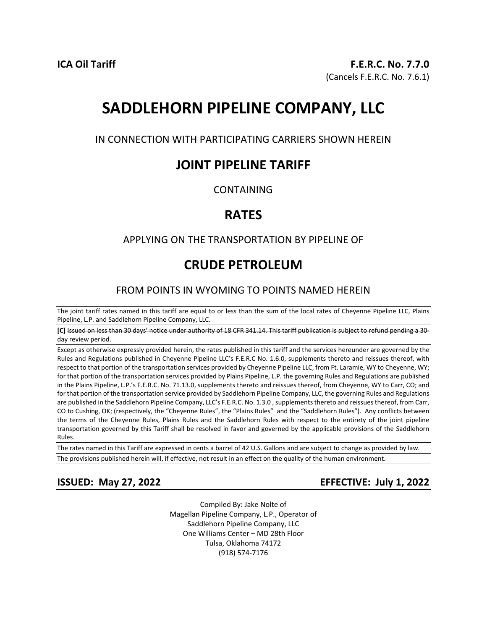# **SADDLEHORN PIPELINE COMPANY, LLC**

IN CONNECTION WITH PARTICIPATING CARRIERS SHOWN HEREIN

# **JOINT PIPELINE TARIFF**

CONTAINING

# **RATES**

## APPLYING ON THE TRANSPORTATION BY PIPELINE OF

# **CRUDE PETROLEUM**

# FROM POINTS IN WYOMING TO POINTS NAMED HEREIN

The joint tariff rates named in this tariff are equal to or less than the sum of the local rates of Cheyenne Pipeline LLC, Plains Pipeline, L.P. and Saddlehorn Pipeline Company, LLC.

**[C]** Issued on less than 30 days' notice under authority of 18 CFR 341.14. This tariff publication is subject to refund pending a 30 day review period.

Except as otherwise expressly provided herein, the rates published in this tariff and the services hereunder are governed by the Rules and Regulations published in Cheyenne Pipeline LLC's F.E.R.C No. 1.6.0, supplements thereto and reissues thereof, with respect to that portion of the transportation services provided by Cheyenne Pipeline LLC, from Ft. Laramie, WY to Cheyenne, WY; for that portion of the transportation services provided by Plains Pipeline, L.P. the governing Rules and Regulations are published in the Plains Pipeline, L.P.'s F.E.R.C. No. 71.13.0, supplements thereto and reissues thereof, from Cheyenne, WY to Carr, CO; and for that portion of the transportation service provided by Saddlehorn Pipeline Company, LLC, the governing Rules and Regulations are published in the Saddlehorn Pipeline Company, LLC's F.E.R.C. No. 1.3.0 , supplements thereto and reissues thereof, from Carr, CO to Cushing, OK; (respectively, the "Cheyenne Rules", the "Plains Rules" and the "Saddlehorn Rules"). Any conflicts between the terms of the Cheyenne Rules, Plains Rules and the Saddlehorn Rules with respect to the entirety of the joint pipeline transportation governed by this Tariff shall be resolved in favor and governed by the applicable provisions of the Saddlehorn Rules.

The rates named in this Tariff are expressed in cents a barrel of 42 U.S. Gallons and are subject to change as provided by law.

The provisions published herein will, if effective, not result in an effect on the quality of the human environment.

**ISSUED: May 27, 2022 EFFECTIVE: July 1, 2022** 

Compiled By: Jake Nolte of Magellan Pipeline Company, L.P., Operator of Saddlehorn Pipeline Company, LLC One Williams Center – MD 28th Floor Tulsa, Oklahoma 74172 (918) 574-7176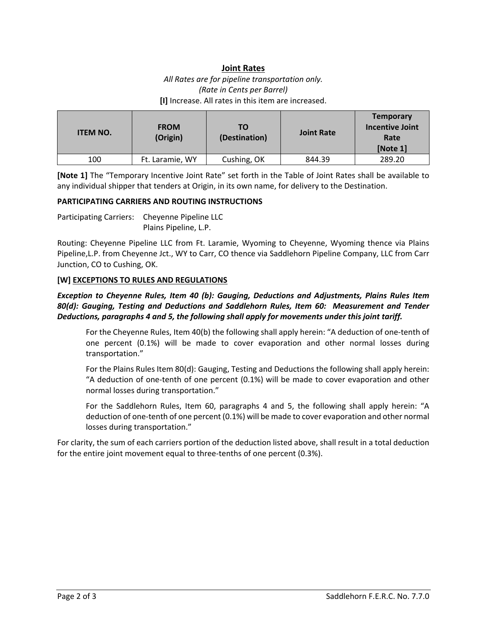## **Joint Rates**

*All Rates are for pipeline transportation only. (Rate in Cents per Barrel)* **[I]** Increase. All rates in this item are increased.

| <b>ITEM NO.</b> | <b>FROM</b><br>(Origin) | тο<br>(Destination) | <b>Joint Rate</b> | <b>Temporary</b><br><b>Incentive Joint</b><br>Rate<br>[Note 1] |
|-----------------|-------------------------|---------------------|-------------------|----------------------------------------------------------------|
| 100             | Ft. Laramie, WY         | Cushing, OK         | 844.39            | 289.20                                                         |

**[Note 1]** The "Temporary Incentive Joint Rate" set forth in the Table of Joint Rates shall be available to any individual shipper that tenders at Origin, in its own name, for delivery to the Destination.

### **PARTICIPATING CARRIERS AND ROUTING INSTRUCTIONS**

Participating Carriers: Cheyenne Pipeline LLC Plains Pipeline, L.P.

Routing: Cheyenne Pipeline LLC from Ft. Laramie, Wyoming to Cheyenne, Wyoming thence via Plains Pipeline,L.P. from Cheyenne Jct., WY to Carr, CO thence via Saddlehorn Pipeline Company, LLC from Carr Junction, CO to Cushing, OK.

### **[W] EXCEPTIONS TO RULES AND REGULATIONS**

*Exception to Cheyenne Rules, Item 40 (b): Gauging, Deductions and Adjustments, Plains Rules Item 80(d): Gauging, Testing and Deductions and Saddlehorn Rules, Item 60: Measurement and Tender Deductions, paragraphs 4 and 5, the following shall apply for movements under this joint tariff.* 

For the Cheyenne Rules, Item 40(b) the following shall apply herein: "A deduction of one-tenth of one percent (0.1%) will be made to cover evaporation and other normal losses during transportation."

For the Plains Rules Item 80(d): Gauging, Testing and Deductions the following shall apply herein: "A deduction of one-tenth of one percent (0.1%) will be made to cover evaporation and other normal losses during transportation."

For the Saddlehorn Rules, Item 60, paragraphs 4 and 5, the following shall apply herein: "A deduction of one-tenth of one percent (0.1%) will be made to cover evaporation and other normal losses during transportation."

For clarity, the sum of each carriers portion of the deduction listed above, shall result in a total deduction for the entire joint movement equal to three-tenths of one percent (0.3%).